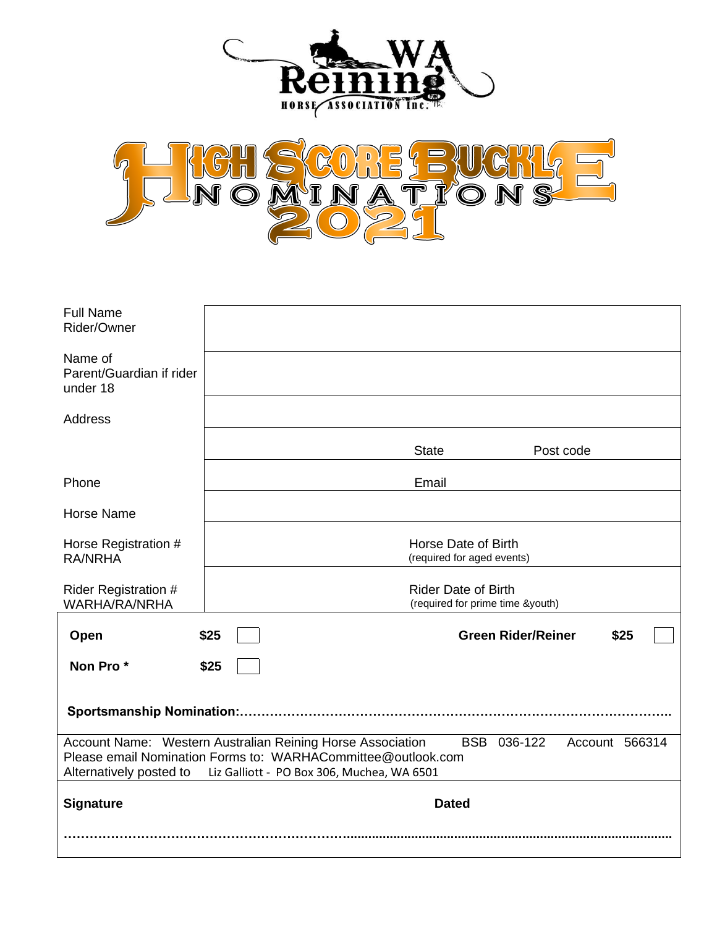



| <b>Full Name</b><br>Rider/Owner                                                                                                                                                                                                      |                                                                |  |                           |           |
|--------------------------------------------------------------------------------------------------------------------------------------------------------------------------------------------------------------------------------------|----------------------------------------------------------------|--|---------------------------|-----------|
| Name of<br>Parent/Guardian if rider<br>under 18                                                                                                                                                                                      |                                                                |  |                           |           |
| <b>Address</b>                                                                                                                                                                                                                       |                                                                |  |                           |           |
|                                                                                                                                                                                                                                      |                                                                |  | <b>State</b>              | Post code |
| Phone                                                                                                                                                                                                                                |                                                                |  | Email                     |           |
| <b>Horse Name</b>                                                                                                                                                                                                                    |                                                                |  |                           |           |
| Horse Registration #<br><b>RA/NRHA</b>                                                                                                                                                                                               | Horse Date of Birth<br>(required for aged events)              |  |                           |           |
| <b>Rider Registration #</b><br><b>WARHA/RA/NRHA</b>                                                                                                                                                                                  | <b>Rider Date of Birth</b><br>(required for prime time &youth) |  |                           |           |
| Open                                                                                                                                                                                                                                 | \$25                                                           |  | <b>Green Rider/Reiner</b> | \$25      |
| Non Pro*                                                                                                                                                                                                                             | \$25                                                           |  |                           |           |
|                                                                                                                                                                                                                                      |                                                                |  |                           |           |
| Account Name: Western Australian Reining Horse Association<br>BSB 036-122<br>Account 566314<br>Please email Nomination Forms to: WARHACommittee@outlook.com<br>Alternatively posted to<br>Liz Galliott - PO Box 306, Muchea, WA 6501 |                                                                |  |                           |           |
| <b>Signature</b>                                                                                                                                                                                                                     | <b>Dated</b>                                                   |  |                           |           |
|                                                                                                                                                                                                                                      |                                                                |  |                           |           |